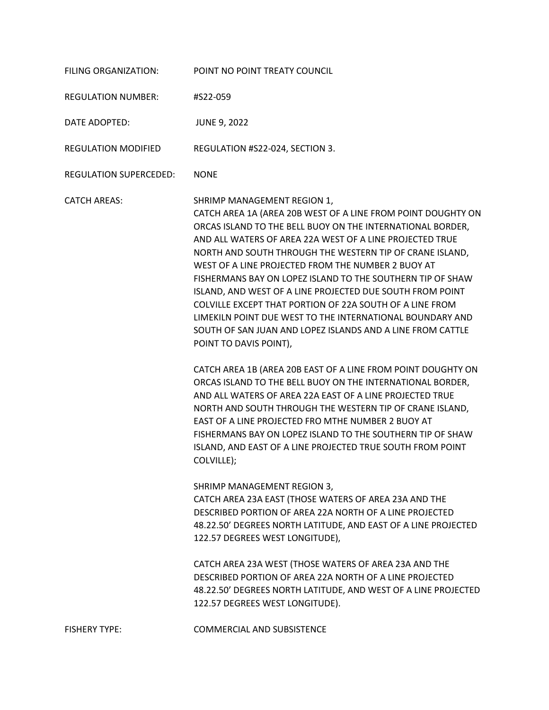| FILING ORGANIZATION:      | POINT NO POINT TREATY COUNCIL                                                                                                                                                                                                                                                                                                                                                                                                                                                                                                                                                                                                                                                                                                                                                                                                                                                                                                                                                                                                                                                                                                                                                                                                                                                                                                                                                                                                                                                                                         |
|---------------------------|-----------------------------------------------------------------------------------------------------------------------------------------------------------------------------------------------------------------------------------------------------------------------------------------------------------------------------------------------------------------------------------------------------------------------------------------------------------------------------------------------------------------------------------------------------------------------------------------------------------------------------------------------------------------------------------------------------------------------------------------------------------------------------------------------------------------------------------------------------------------------------------------------------------------------------------------------------------------------------------------------------------------------------------------------------------------------------------------------------------------------------------------------------------------------------------------------------------------------------------------------------------------------------------------------------------------------------------------------------------------------------------------------------------------------------------------------------------------------------------------------------------------------|
| <b>REGULATION NUMBER:</b> | #S22-059                                                                                                                                                                                                                                                                                                                                                                                                                                                                                                                                                                                                                                                                                                                                                                                                                                                                                                                                                                                                                                                                                                                                                                                                                                                                                                                                                                                                                                                                                                              |
| DATE ADOPTED:             | <b>JUNE 9, 2022</b>                                                                                                                                                                                                                                                                                                                                                                                                                                                                                                                                                                                                                                                                                                                                                                                                                                                                                                                                                                                                                                                                                                                                                                                                                                                                                                                                                                                                                                                                                                   |
| REGULATION MODIFIED       | REGULATION #S22-024, SECTION 3.                                                                                                                                                                                                                                                                                                                                                                                                                                                                                                                                                                                                                                                                                                                                                                                                                                                                                                                                                                                                                                                                                                                                                                                                                                                                                                                                                                                                                                                                                       |
| REGULATION SUPERCEDED:    | <b>NONE</b>                                                                                                                                                                                                                                                                                                                                                                                                                                                                                                                                                                                                                                                                                                                                                                                                                                                                                                                                                                                                                                                                                                                                                                                                                                                                                                                                                                                                                                                                                                           |
| <b>CATCH AREAS:</b>       | SHRIMP MANAGEMENT REGION 1,<br>CATCH AREA 1A (AREA 20B WEST OF A LINE FROM POINT DOUGHTY ON<br>ORCAS ISLAND TO THE BELL BUOY ON THE INTERNATIONAL BORDER,<br>AND ALL WATERS OF AREA 22A WEST OF A LINE PROJECTED TRUE<br>NORTH AND SOUTH THROUGH THE WESTERN TIP OF CRANE ISLAND,<br>WEST OF A LINE PROJECTED FROM THE NUMBER 2 BUOY AT<br>FISHERMANS BAY ON LOPEZ ISLAND TO THE SOUTHERN TIP OF SHAW<br>ISLAND, AND WEST OF A LINE PROJECTED DUE SOUTH FROM POINT<br>COLVILLE EXCEPT THAT PORTION OF 22A SOUTH OF A LINE FROM<br>LIMEKILN POINT DUE WEST TO THE INTERNATIONAL BOUNDARY AND<br>SOUTH OF SAN JUAN AND LOPEZ ISLANDS AND A LINE FROM CATTLE<br>POINT TO DAVIS POINT),<br>CATCH AREA 1B (AREA 20B EAST OF A LINE FROM POINT DOUGHTY ON<br>ORCAS ISLAND TO THE BELL BUOY ON THE INTERNATIONAL BORDER,<br>AND ALL WATERS OF AREA 22A EAST OF A LINE PROJECTED TRUE<br>NORTH AND SOUTH THROUGH THE WESTERN TIP OF CRANE ISLAND,<br>EAST OF A LINE PROJECTED FRO MTHE NUMBER 2 BUOY AT<br>FISHERMANS BAY ON LOPEZ ISLAND TO THE SOUTHERN TIP OF SHAW<br>ISLAND, AND EAST OF A LINE PROJECTED TRUE SOUTH FROM POINT<br>COLVILLE);<br>SHRIMP MANAGEMENT REGION 3,<br>CATCH AREA 23A EAST (THOSE WATERS OF AREA 23A AND THE<br>DESCRIBED PORTION OF AREA 22A NORTH OF A LINE PROJECTED<br>48.22.50' DEGREES NORTH LATITUDE, AND EAST OF A LINE PROJECTED<br>122.57 DEGREES WEST LONGITUDE),<br>CATCH AREA 23A WEST (THOSE WATERS OF AREA 23A AND THE<br>DESCRIBED PORTION OF AREA 22A NORTH OF A LINE PROJECTED |
|                           | 48.22.50' DEGREES NORTH LATITUDE, AND WEST OF A LINE PROJECTED<br>122.57 DEGREES WEST LONGITUDE).                                                                                                                                                                                                                                                                                                                                                                                                                                                                                                                                                                                                                                                                                                                                                                                                                                                                                                                                                                                                                                                                                                                                                                                                                                                                                                                                                                                                                     |
| <b>FISHERY TYPE:</b>      | <b>COMMERCIAL AND SUBSISTENCE</b>                                                                                                                                                                                                                                                                                                                                                                                                                                                                                                                                                                                                                                                                                                                                                                                                                                                                                                                                                                                                                                                                                                                                                                                                                                                                                                                                                                                                                                                                                     |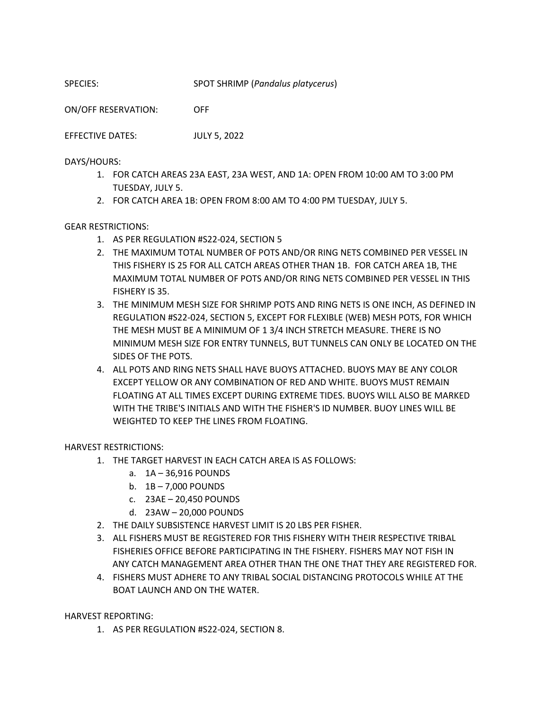SPECIES: SPOT SHRIMP (*Pandalus platycerus*)

ON/OFF RESERVATION: OFF

EFFECTIVE DATES: JULY 5, 2022

DAYS/HOURS:

- 1. FOR CATCH AREAS 23A EAST, 23A WEST, AND 1A: OPEN FROM 10:00 AM TO 3:00 PM TUESDAY, JULY 5.
- 2. FOR CATCH AREA 1B: OPEN FROM 8:00 AM TO 4:00 PM TUESDAY, JULY 5.

## GEAR RESTRICTIONS:

- 1. AS PER REGULATION #S22-024, SECTION 5
- 2. THE MAXIMUM TOTAL NUMBER OF POTS AND/OR RING NETS COMBINED PER VESSEL IN THIS FISHERY IS 25 FOR ALL CATCH AREAS OTHER THAN 1B. FOR CATCH AREA 1B, THE MAXIMUM TOTAL NUMBER OF POTS AND/OR RING NETS COMBINED PER VESSEL IN THIS FISHERY IS 35.
- 3. THE MINIMUM MESH SIZE FOR SHRIMP POTS AND RING NETS IS ONE INCH, AS DEFINED IN REGULATION #S22-024, SECTION 5, EXCEPT FOR FLEXIBLE (WEB) MESH POTS, FOR WHICH THE MESH MUST BE A MINIMUM OF 1 3/4 INCH STRETCH MEASURE. THERE IS NO MINIMUM MESH SIZE FOR ENTRY TUNNELS, BUT TUNNELS CAN ONLY BE LOCATED ON THE SIDES OF THE POTS.
- 4. ALL POTS AND RING NETS SHALL HAVE BUOYS ATTACHED. BUOYS MAY BE ANY COLOR EXCEPT YELLOW OR ANY COMBINATION OF RED AND WHITE. BUOYS MUST REMAIN FLOATING AT ALL TIMES EXCEPT DURING EXTREME TIDES. BUOYS WILL ALSO BE MARKED WITH THE TRIBE'S INITIALS AND WITH THE FISHER'S ID NUMBER. BUOY LINES WILL BE WEIGHTED TO KEEP THE LINES FROM FLOATING.

HARVEST RESTRICTIONS:

- 1. THE TARGET HARVEST IN EACH CATCH AREA IS AS FOLLOWS:
	- a. 1A 36,916 POUNDS
	- b. 1B 7,000 POUNDS
	- c. 23AE 20,450 POUNDS
	- d. 23AW 20,000 POUNDS
- 2. THE DAILY SUBSISTENCE HARVEST LIMIT IS 20 LBS PER FISHER.
- 3. ALL FISHERS MUST BE REGISTERED FOR THIS FISHERY WITH THEIR RESPECTIVE TRIBAL FISHERIES OFFICE BEFORE PARTICIPATING IN THE FISHERY. FISHERS MAY NOT FISH IN ANY CATCH MANAGEMENT AREA OTHER THAN THE ONE THAT THEY ARE REGISTERED FOR.
- 4. FISHERS MUST ADHERE TO ANY TRIBAL SOCIAL DISTANCING PROTOCOLS WHILE AT THE BOAT LAUNCH AND ON THE WATER.

HARVEST REPORTING:

1. AS PER REGULATION #S22-024, SECTION 8.